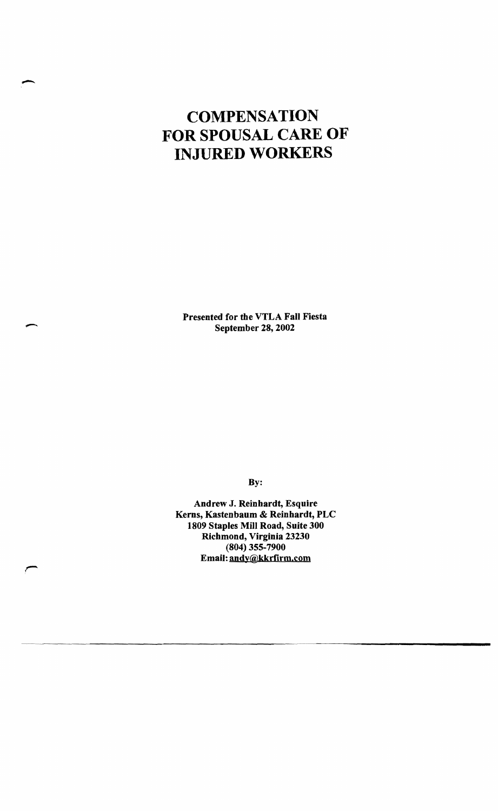# **COMPENSATION FOR SPOUSAL CARE OF INJURED WORKERS**

Presented for the VTLA Fall Fiesta September 28, 2002

-

By:

Andrew J. Reinhardt, Esquire Kerns, Kastenbaum & Reinhardt, PLC 1809 Staples Mill Road, Suite 300 Richmond, Virginia 23230 (804) 355-7900 Email: andy®kkrfirm.com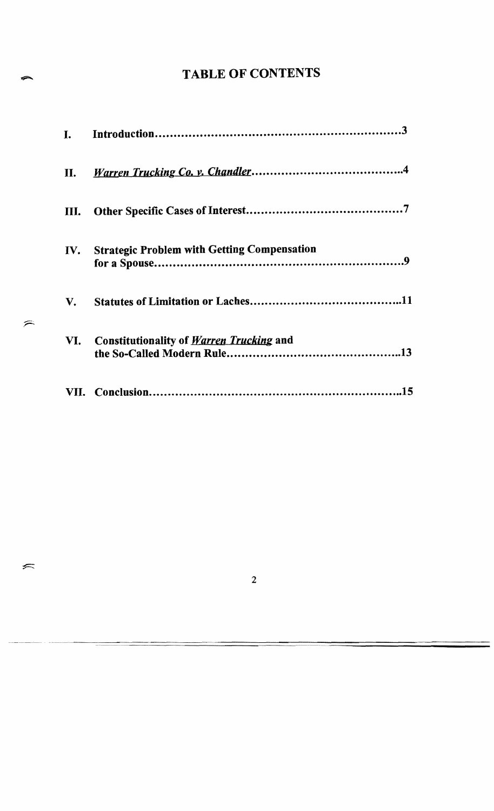## TABLE OF CONTENTS

| T.   |                                                    |
|------|----------------------------------------------------|
| П.   |                                                    |
| III. |                                                    |
| IV.  | <b>Strategic Problem with Getting Compensation</b> |
| V.   |                                                    |
| VI.  | <b>Constitutionality of Warren Trucking and</b>    |
|      |                                                    |

 $\widehat{\phantom{1}}% \widehat{\phantom{1}}\tilde{\phantom{1}}% \widehat{\phantom{1}}% \widehat{\phantom{1}}\tilde{\phantom{1}}\tilde{\phantom{1}}\tilde{\phantom{1}}\tilde{\phantom{1}}\tilde{\phantom{1}}\tilde{\phantom{1}}\tilde{\phantom{1}}\tilde{\phantom{1}}\tilde{\phantom{1}}\tilde{\phantom{1}}\tilde{\phantom{1}}\tilde{\phantom{1}}\tilde{\phantom{1}}\tilde{\phantom{1}}\tilde{\phantom{1}}\tilde{\phantom{1}}\tilde{\phantom{1}}\tilde{\phantom{1}}\tilde{\phantom{1}}\$ 

 $\leftarrow$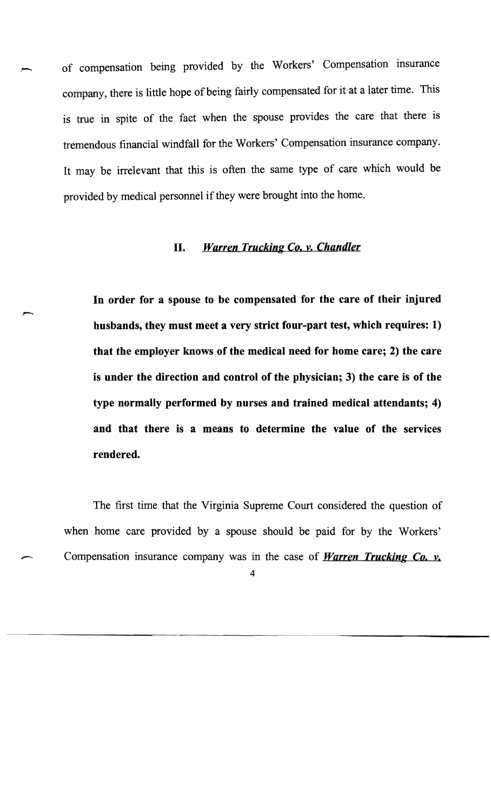of compensation being provided by the Workers' Compensation insurance company, there is little hope of being fairly compensated for it at a later time. This is true in spite of the fact when the spouse provides the care that there is tremendous financial windfall for the Workers' Compensation insurance company. It may be irrelevant that this is often the same type of care which would be provided by medical personnel if they were brought into the home.

#### *II. Warren Trucking Co. y. Chandler*

**In order for a spouse to be compensated for the care of their injured husbands, they must meet a very strict four-part test, which requires: 1) that the employer knows of the medical need for home care; 2) the care is under the direction and control of the physician; 3) the care is of the type normally performed· by nurses and trained medical attendants; 4) and that there is a means to determine the value of the services rendered.** 

The first time that the Virginia Supreme Court considered the question of when home care provided by a spouse should be paid for by the Workers' Compensation insurance company was in the case of *Warren Trucking Co. y,*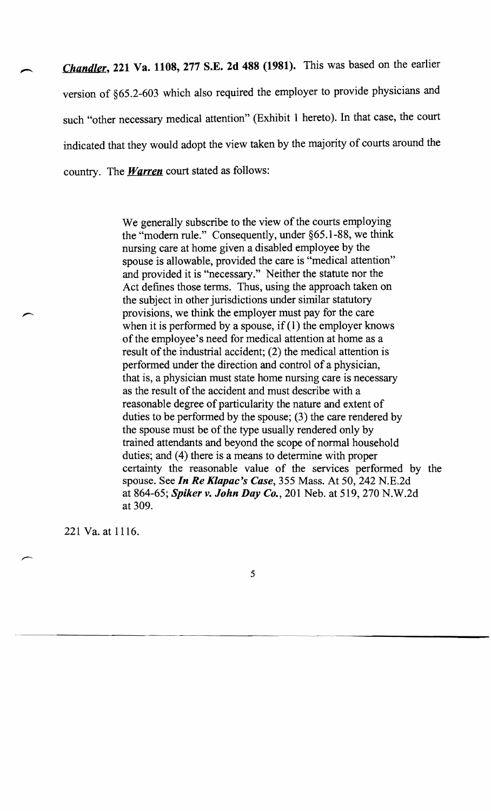*Chandler,* 221 Va. 1108, 277 S.E. 2d 488 (1981). This was based on the earlier version of §65.2-603 which also required the employer to provide physicians and such "other necessary medical attention" (Exhibit I hereto). In that case, the court indicated that they would adopt the view taken by the majority of courts around the country. The *Warren* court stated as follows:

> We generally subscribe to the view of the courts employing the "modem rule." Consequently, under §65.1-88, we think nursing care at home given a disabled employee by the spouse is allowable, provided the care is "medical attention" and provided it is "necessary." Neither the statute nor the Act defines those terms. Thus, using the approach taken on the subject in other jurisdictions under similar statutory provisions, we think the employer must pay for the care when it is performed by a spouse, if  $(1)$  the employer knows of the employee's need for medical attention at home as a result of the industrial accident; (2) the medical attention is performed under the direction and control of a physician, that is, a physician must state home nursing care is necessary as the result of the accident and must describe with a reasonable degree of particularity the nature and extent of duties to be performed by the spouse; (3) the care rendered by the spouse must be of the type usually rendered only by trained attendants and beyond the scope of normal household duties; and (4) there is a means to determine with proper certainty the reasonable value of the services performed by the spouse. See *In Re Klapac's Case,* 355 Mass. At 50, 242 N.E.2d at 864-65; *Spiker v. John Day Co.,* 201 Neb. at 519, 270 N.W.2d at 309.

221 Va. at 1116.

,--

5

------------------.. -~ \_ ... \_-\_ .... ------------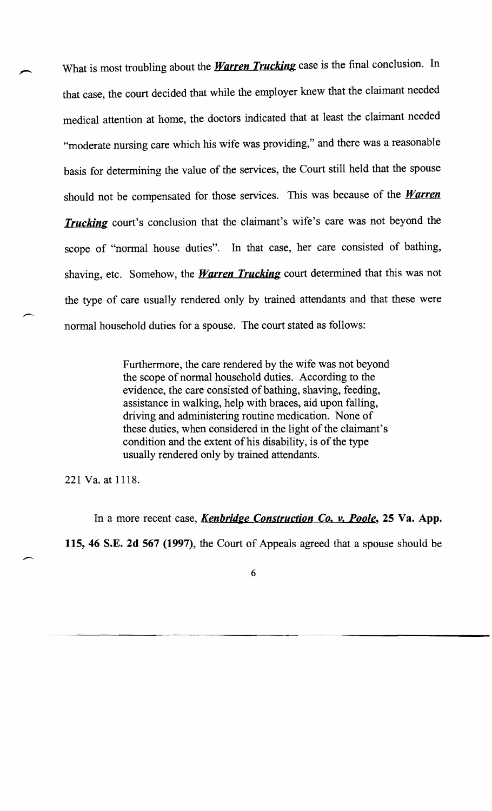What is most troubling about the *Warren Trucking* case is the final conclusion. In that case, the court decided that while the employer knew that the claimant needed medical attention at home, the doctors indicated that at least the claimant needed "moderate nursing care which his wife was providing," and there was a reasonable basis for determining the value of the services, the Court still held that the spouse should not be compensated for those services. This was because of the *Warren Trucking* court's conclusion that the claimant's wife's care was not beyond the scope of "normal house duties". In that case, her care consisted of bathing, shaving, etc. Somehow, the *Warren Trucking* court determined that this was not the type of care usually rendered only by trained attendants and that these were normal household duties for a spouse. The court stated as follows:

> Furthermore, the care rendered by the wife was not beyond the scope of normal household duties. According to the evidence, the care consisted of bathing, shaving, feeding, assistance in walking, help with braces, aid upon falling, driving and administering routine medication. None of these duties, when considered in the light of the claimant's condition and the extent of his disability, is of the type usually rendered only by trained attendants.

221 Va. at 1118.

In a more recent case, *Kenbridge Construction Co. v. Poole,* **25 Va. App. 115, 46 S.E. 2d 567 (1997),** the Court of Appeals agreed that a spouse should be

6

- - -.\_- ~--------------------------------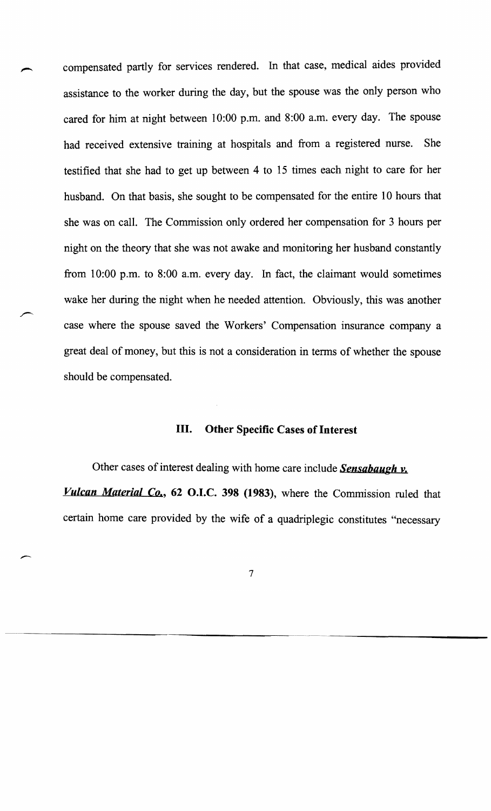compensated partly for services rendered. In that case, medical aides provided assistance to the worker during the day, but the spouse was the only person who cared for him at night between 10:00 p.m. and 8:00 a.m. every day. The spouse had received extensive training at hospitals and from a registered nurse. She testified that she had to get up between 4 to 15 times each night to care for her husband. On that basis, she sought to be compensated for the entire 10 hours that she was on call. The Commission only ordered her compensation for 3 hours per night on the theory that she was not awake and monitoring her husband constantly from 10:00 p.m. to 8:00 a.m. every day. In fact, the claimant would sometimes wake her during the night when he needed attention. Obviously, this was another case where the spouse saved the Workers' Compensation insurance company a great deal of money, but this is not a consideration in terms of whether the spouse should be compensated.

## III. Other Specific Cases of Interest

Other cases of interest dealing with home care include *Sensabaugh v. Vulcan Material Co.,* 62 O.I.C. 398 (1983), where the Commission ruled that certain home care provided by the wife of a quadriplegic constitutes "necessary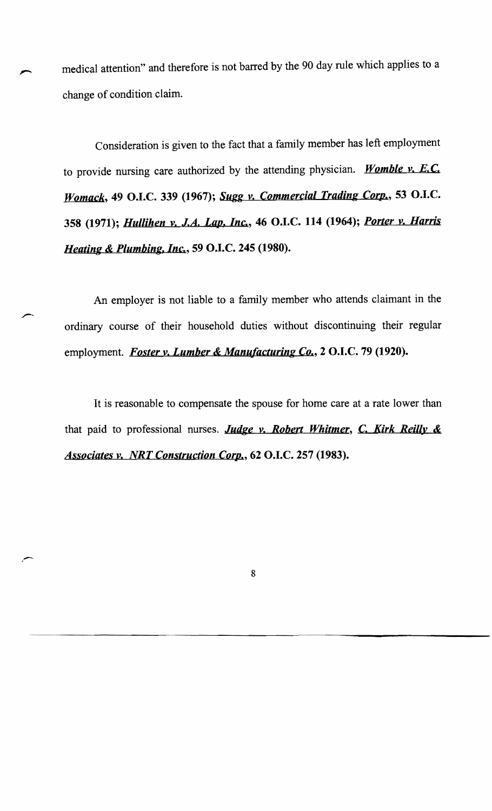medical attention" and therefore is not barred by the 90 day rule which applies to a change of condition claim.

Consideration is given to the fact that a family member has left employment to provide nursing care authorized by the attending physician. *Womble v. E.C. Womack,* 49 O.I.C. 339 (1967); *Sugg v. Commercial Trading Corp.,* 53 O.I.C. 358 (1971); *Hullihen v. J.A. Lap. Inc.,* 46 O.I.C. **114** (1964); *Porter v. Harris Heating* & *Plumbing, Inc.,* 59 O.I.C. 245 (1980).

An employer is not liable to a family member who attends claimant in the ordinary course of their household duties without discontinuing their regular employment. *Foster v. Lumber* & *Manufacturing Co.,* 2 O.I.C. 79 (1920).

It is reasonable to compensate the spouse for home care at a rate lower than that paid to professional nurses. *Judge v. Robert Whitmer,* C. *Kirk Reilly* & *Associates v. NRT Construction Corp.*, 62 O.I.C. 257 (1983).

..-- <sup>I</sup>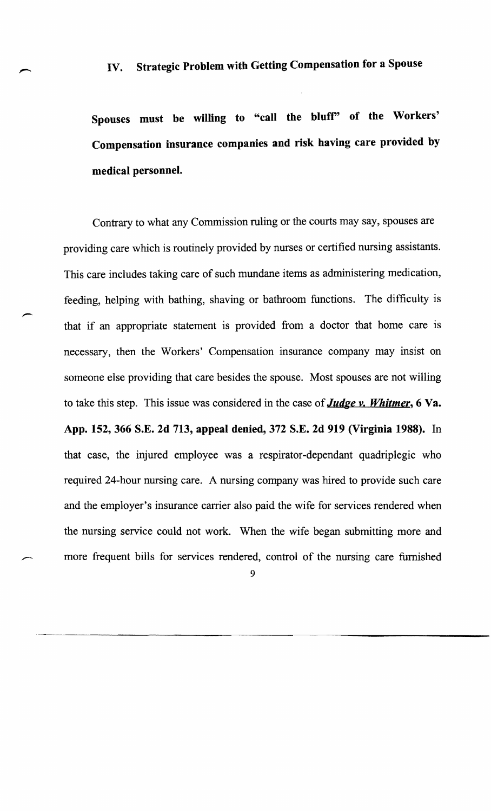Spouses must be willing to "call the blufr' of the Workers' Compensation insurance companies and risk having care provided by medical personnel.

Contrary to what any Commission ruling or the courts may say, spouses are providing care which is routinely provided by nurses or certified nursing assistants. This care includes taking care of such mundane items as administering medication, feeding, helping with bathing, shaving or bathroom functions. The difficulty is that if an appropriate statement is provided from a doctor that home care is necessary, then the Workers' Compensation insurance company may insist on someone else providing that care besides the spouse. Most spouses are not willing to take this step. This issue was considered in the case of *Judge v. Whitmer,* 6 Va. App. 152,366 S.E. 2d 713, appeal denied, 372 S.E. 2d 919 (Virginia 1988). In that case, the injured employee was a respirator-dependant quadriplegic who required 24-hour nursing care. A nursing company was hired to provide such care and the employer's insurance carrier also paid the wife for services rendered when the nursing service could not work. When the wife began submitting more and more frequent bills for services rendered, control of the nursing care furnished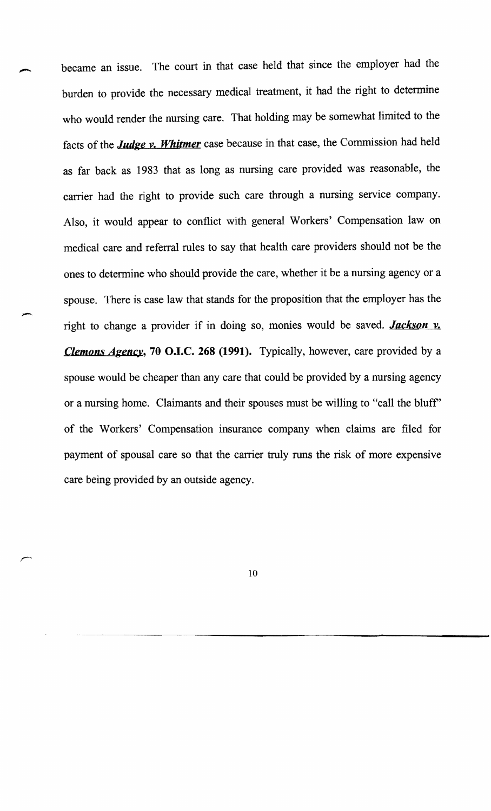became an issue. The court in that case held that since the employer had the burden to provide the necessary medical treatment, it had the right to determine who would render the nursing care. That holding may be somewhat limited to the facts of the *Judge y. Whitmer* case because in that case, the Commission had held as far back as 1983 that as long as nursing care provided was reasonable, the carrier had the right to provide such care through a nursing service company. Also, it would appear to conflict with general Workers' Compensation law on medical care and referral rules to say that health care providers should not be the ones to determine who should provide the care, whether it be a nursing agency or a spouse. There is case law that stands for the proposition that the employer has the right to change a provider if in doing so, monies would be saved. *Jackson y. Clemons Agency,* 70 O.I.C. 268 (1991). Typically, however, care provided by a spouse would be cheaper than any care that could be provided by a nursing agency or a nursing home. Claimants and their spouses must be willing to "call the bluff' of the Workers' Compensation insurance company when claims are filed for payment of spousal care so that the carrier truly runs the risk of more expensive care being provided by an outside agency.

-,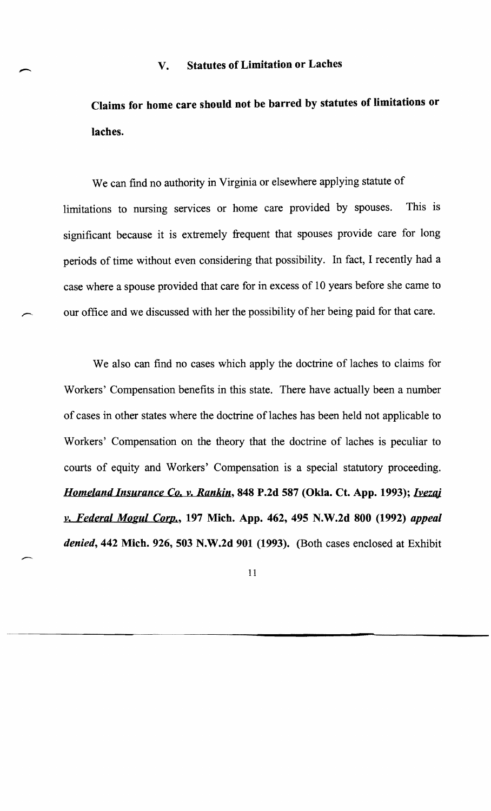### V. Statutes of Limitation or Laches

Claims for home care should not be barred by statutes of limitations or laches.

We can find no authority in Virginia or elsewhere applying statute of limitations to nursing services or home care provided by spouses. This is significant because it is extremely frequent that spouses provide care for long periods of time without even considering that possibility. In fact, I recently had a case where a spouse provided that care for in excess of 10 years before she came to our office and we discussed with her the possibility of her being paid for that care.

We also can find no cases which apply the doctrine of laches to claims for Workers' Compensation benefits in this state. There have actually been a number of cases in other states where the doctrine of laches has been held not applicable to Workers' Compensation on the theory that the doctrine of laches is peculiar to courts of equity and Workers' Compensation is a special statutory proceeding. *Homeland Insurance Co. v. Rankin,* 848 P.2d 587 (Okla. Ct. App. 1993); *Ivezaj v. Federal Mogul Corp.,* 197 Mich. App. 462, 495 N.W.2d 800 (1992) *appeal denied,* 442 Mich. 926, 503 N.W.2d 901 (1993). (Both cases enclosed at Exhibit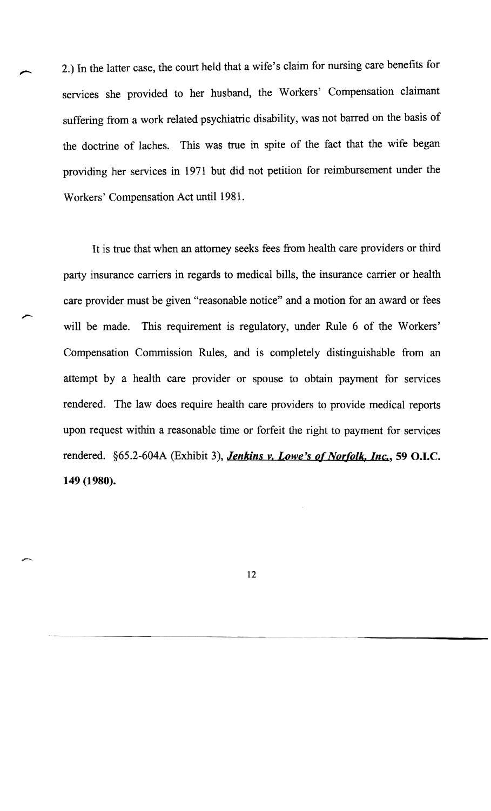2.) In the latter case, the court held that a wife's claim for nursing care benefits for services she provided to her husband, the Workers' Compensation claimant suffering from a work related psychiatric disability, was not barred on the basis of the doctrine of laches. This was true in spite of the fact that the wife began providing her services in 1971 but did not petition for reimbursement under the Workers' Compensation Act until 1981.

It is true that when an attorney seeks fees from health care providers or third party insurance carriers in regards to medical bills, the insurance carrier or health care provider must be given "reasonable notice" and a motion for an award or fees will be made. This requirement is regulatory, under Rule 6 of the Workers' Compensation Commission Rules, and is completely distinguishable from an attempt by a health care provider or spouse to obtain payment for services rendered. The law does require health care providers to provide medical reports upon request within a reasonable time or forfeit the right to payment for services rendered. §65.2-604A (Exhibit 3), *Jenkins v. Lowe's* of *Norfolk, Inc.,* 59 O.I.C. 149 (1980).

12

-----.---..• --.----~--~--~----------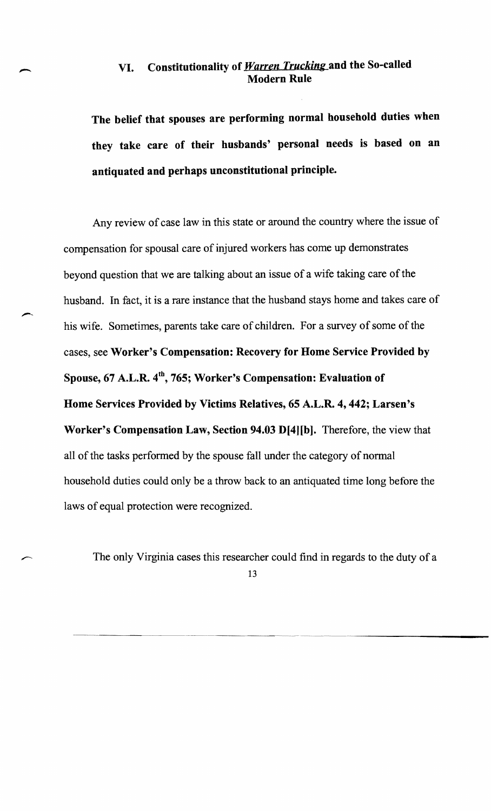## VI. Constitutionality of *Warren Trucking* and the So-called Modern Rule

The belief that spouses are performing normal household duties when they take care of their husbands' personal needs is based on an antiquated and perhaps unconstitutional principle.

Any review of case law in this state or around the country where the issue of compensation for spousal care of injured workers has come up demonstrates beyond question that we are talking about an issue of a wife taking care of the husband. In fact, it is a rare instance that the husband stays home and takes care of his wife. Sometimes, parents take care of children. For a survey of some of the cases, see Worker's Compensation: Recovery for Home Service Provided by Spouse,  $67$  A.L.R.  $4<sup>th</sup>$ , 765; Worker's Compensation: Evaluation of Home Services Provided by Victims Relatives, 65 A.L.R. 4,442; Larsen's Worker's Compensation Law, Section 94.03 D[4][b). Therefore, the view that all of the tasks performed by the spouse fall under the category of normal household duties could only be a throw back to an antiquated time long before the laws of equal protection were recognized.

The only Virginia cases this researcher could find in regards to the duty of a 13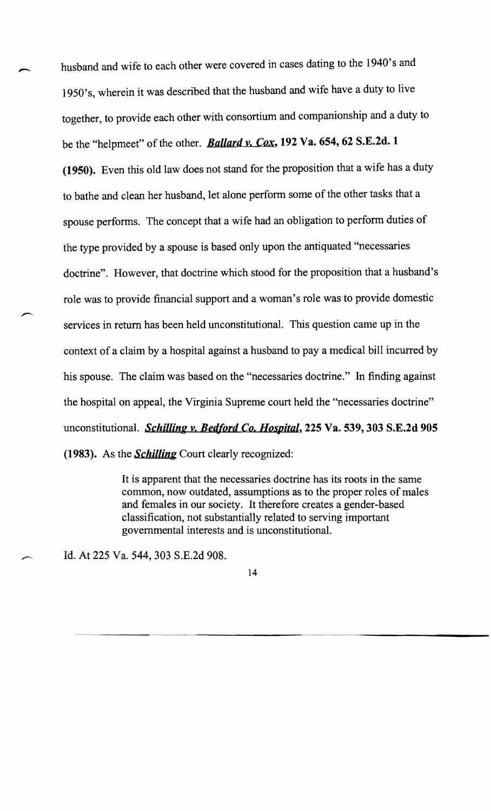husband and wife to each other were covered in cases dating to the 1940's and 1950' s, wherein it was described that the husband and wife have a duty to live together, to provide each other with consortium and companionship and a duty to be the "helpmeet" of the other. *Ballard y. Cox,* 192 Va. 654, 62 S.E.2d. 1 (1950). Even this old law does not stand for the proposition that a wife has a duty to bathe and clean her husband, let alone perform some of the other tasks that a spouse performs. The concept that a wife had an obligation to perform duties of the type provided by a spouse is based only upon the antiquated "necessaries doctrine". However, that doctrine which stood for the proposition that a husband's role was to provide financial support and a woman's role was to provide domestic services in return has been held unconstitutional. This question came up in the context of a claim by a hospital against a husband to pay a medical bill incurred by his spouse. The claim was based on the "necessaries doctrine." In finding against the hospital on appeal, the Virginia Supreme court held the "necessaries doctrine" unconstitutional. *Schilling y. Bedford Co. Hospital,* 225 Va. 539, 303 S.E.2d 905 (1983). As the *Schilling* Court clearly recognized:

> It is apparent that the necessaries doctrine has its roots in the same common, now outdated, assumptions as to the proper roles of males and females in our society. It therefore creates a gender-based classification, not substantially related to serving important governmental interests and is unconstitutional.

> > ~-------~--~--~-~----------

Id. At 225 Va. 544, 303 S.E.2d 908.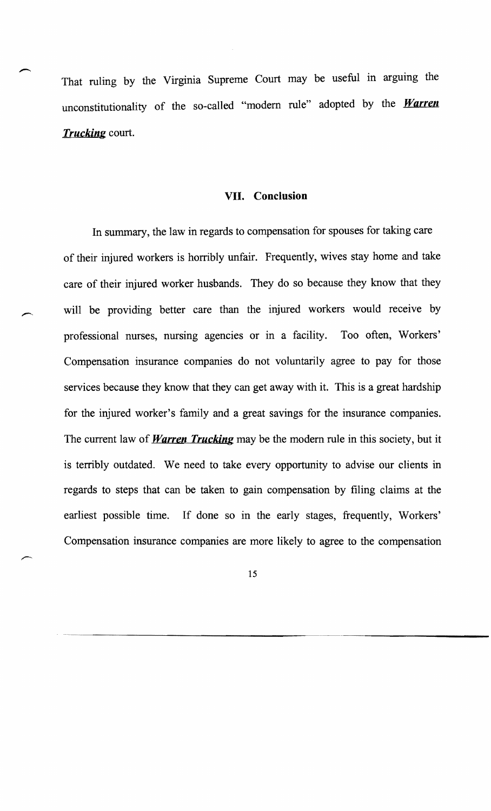That ruling by the Virginia Supreme Court may be useful in arguing the unconstitutionality of the so-called "modem rule" adopted by the *Warren Trucking* court.

#### **VII. Conclusion**

In summary, the law in regards to compensation for spouses for taking care of their injured workers is horribly unfair. Frequently, wives stay home and take care of their injured worker husbands. They do so because they know that they will be providing better care than the injured workers would receive by professional nurses, nursing agencies or in a facility. Too often, Workers' Compensation insurance companies do not voluntarily agree to pay for those services because they know that they can get away with it. This is a great hardship for the injured worker's family and a great savings for the insurance companies. The current law of *Warren Trucking* may be the modem rule in this society, but it is terribly outdated. We need to take every opportunity to advise our clients in regards to steps that can be taken to gain compensation by filing claims at the earliest possible time. If done so in the early stages, frequently, Workers' Compensation insurance companies are more likely to agree to the compensation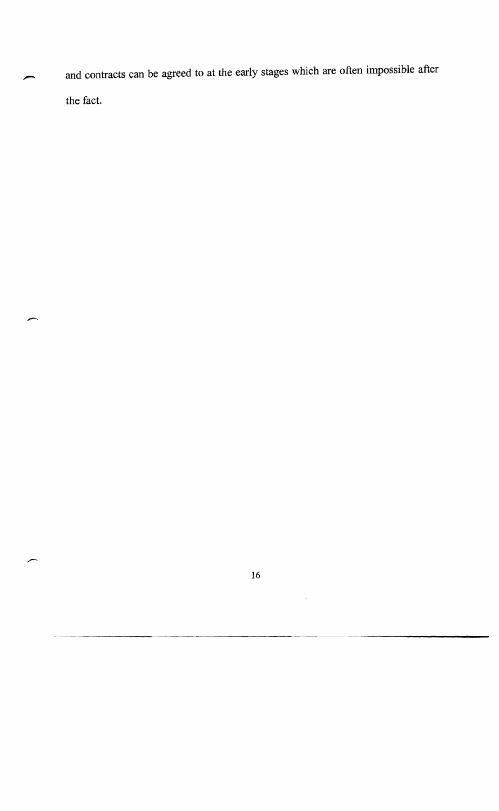and contracts can be agreed to at the early stages which are often impossible after the fact.

-

16

 $\hat{\mathcal{A}}$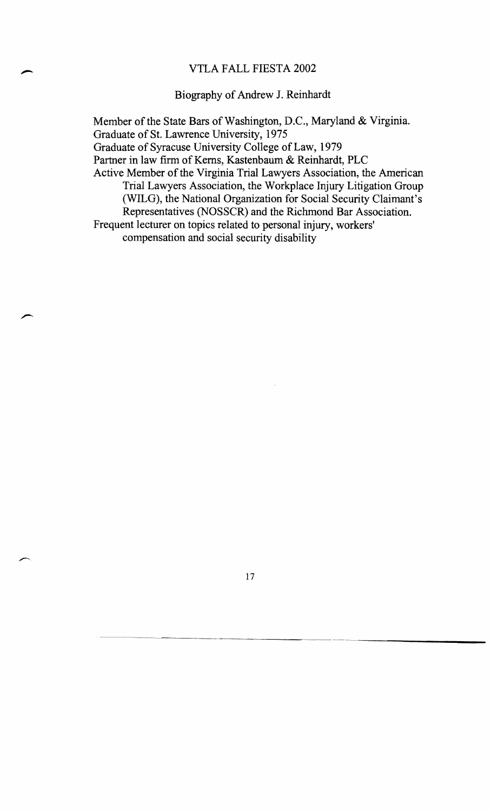#### VTLA FALL FIESTA 2002

#### Biography of Andrew J. Reinhardt

Member of the State Bars of Washington, D.C., Maryland & Virginia. Graduate of St. Lawrence University, 1975 Graduate of Syracuse University College of Law, 1979 Partner in law firm of Kerns, Kastenbaum & Reinhardt, PLC Active Member of the Virginia Trial Lawyers Association, the American Trial Lawyers Association, the Workplace Injury Litigation Group (WILG), the National Organization for Social Security Claimant's Representatives (NOSSCR) and the Richmond Bar Association. Frequent lecturer on topics related to personal injury, workers' compensation and social security disability